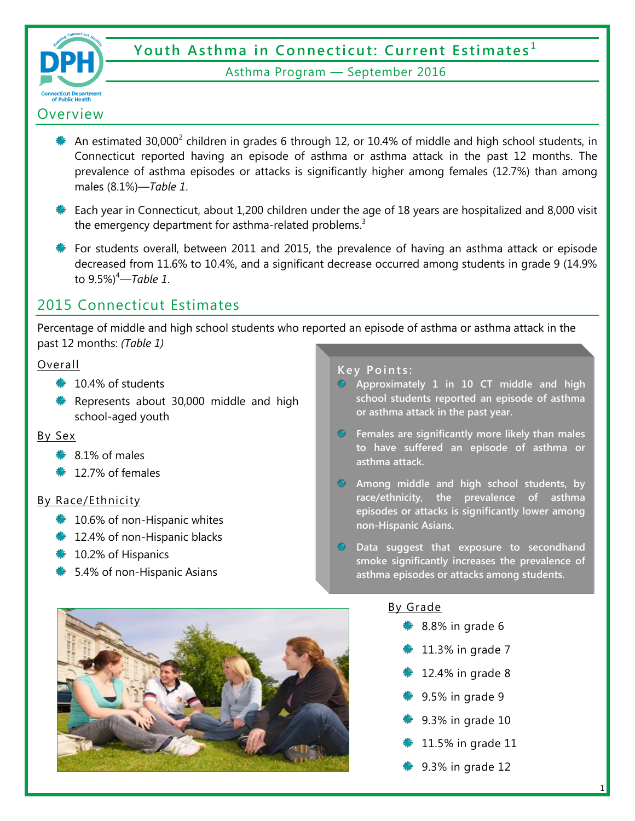

# **Youth Asthma in Connecticut: Current Estimates <sup>1</sup>**

#### Asthma Program — September 2016

### **Overview**

- An estimated 30,000<sup>2</sup> children in grades 6 through 12, or 10.4% of middle and high school students, in Connecticut reported having an episode of asthma or asthma attack in the past 12 months. The prevalence of asthma episodes or attacks is significantly higher among females (12.7%) than among males (8.1%)*—Table 1*.
- Each year in Connecticut, about 1,200 children under the age of 18 years are hospitalized and 8,000 visit the emergency department for asthma-related problems.<sup>3</sup>
- For students overall, between 2011 and 2015, the prevalence of having an asthma attack or episode decreased from 11.6% to 10.4%, and a significant decrease occurred among students in grade 9 (14.9% to 9.5%)<sup>4</sup>*—Table 1*.

## 2015 Connecticut Estimates

Percentage of middle and high school students who reported an episode of asthma or asthma attack in the past 12 months: *(Table 1)*

#### Overall

- $\approx 10.4\%$  of students
- Represents about 30,000 middle and high school-aged youth

#### By Sex

- $\textcolor{blue}{\clubsuit}$  8.1% of males
- $\approx 12.7\%$  of females

#### By Race/Ethnicity

- $*$  10.6% of non-Hispanic whites
- $\approx$  12.4% of non-Hispanic blacks
- $\text{\textbullet}$  10.2% of Hispanics
- **► 5.4% of non-Hispanic Asians**

#### **Key Points:**

- **Approximately 1 in 10 CT middle and high school students reported an episode of asthma or asthma attack in the past year.**
- **Females are significantly more likely than males to have suffered an episode of asthma or asthma attack.**
- **Among middle and high school students, by race/ethnicity, the prevalence of asthma episodes or attacks is significantly lower among non-Hispanic Asians.**
- **Data suggest that exposure to secondhand smoke significantly increases the prevalence of asthma episodes or attacks among students.**

#### By Grade

- 8.8% in grade 6
- 11.3% in grade 7
- 12.4% in grade 8
- 9.5% in grade 9
- 9.3% in grade 10
- 11.5% in grade 11
- 9.3% in grade 12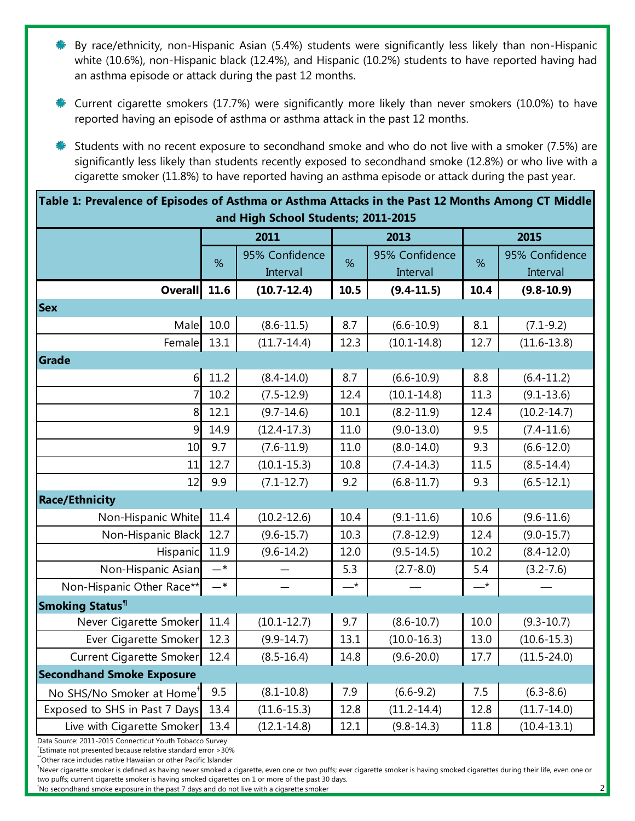- By race/ethnicity, non-Hispanic Asian (5.4%) students were significantly less likely than non-Hispanic white (10.6%), non-Hispanic black (12.4%), and Hispanic (10.2%) students to have reported having had an asthma episode or attack during the past 12 months.
- Current cigarette smokers (17.7%) were significantly more likely than never smokers (10.0%) to have reported having an episode of asthma or asthma attack in the past 12 months.
- Students with no recent exposure to secondhand smoke and who do not live with a smoker (7.5%) are significantly less likely than students recently exposed to secondhand smoke (12.8%) or who live with a cigarette smoker (11.8%) to have reported having an asthma episode or attack during the past year.

| Table 1: Prevalence of Episodes of Asthma or Asthma Attacks in the Past 12 Months Among CT Middle |  |  |
|---------------------------------------------------------------------------------------------------|--|--|
| and High School Students; 2011-2015                                                               |  |  |

|                                       |       | 2011                       |             | 2013                       | 2015          |                            |  |  |
|---------------------------------------|-------|----------------------------|-------------|----------------------------|---------------|----------------------------|--|--|
|                                       | %     | 95% Confidence<br>Interval |             | 95% Confidence<br>Interval | %             | 95% Confidence<br>Interval |  |  |
| <b>Overall</b>                        | 11.6  | $(10.7 - 12.4)$            | 10.5        | $(9.4 - 11.5)$             | 10.4          | $(9.8 - 10.9)$             |  |  |
| <b>Sex</b>                            |       |                            |             |                            |               |                            |  |  |
| Male                                  | 10.0  | $(8.6 - 11.5)$             | 8.7         | $(6.6 - 10.9)$             | 8.1           | $(7.1 - 9.2)$              |  |  |
| Female                                | 13.1  | $(11.7 - 14.4)$            | 12.3        | $(10.1 - 14.8)$            | 12.7          | $(11.6 - 13.8)$            |  |  |
| Grade                                 |       |                            |             |                            |               |                            |  |  |
| $6 \mid$                              | 11.2  | $(8.4 - 14.0)$             | 8.7         | $(6.6 - 10.9)$             | 8.8           | $(6.4 - 11.2)$             |  |  |
| $\overline{7}$                        | 10.2  | $(7.5 - 12.9)$             | 12.4        | $(10.1 - 14.8)$            | 11.3          | $(9.1 - 13.6)$             |  |  |
| 8                                     | 12.1  | $(9.7 - 14.6)$             | 10.1        | $(8.2 - 11.9)$             | 12.4          | $(10.2 - 14.7)$            |  |  |
| 9                                     | 14.9  | $(12.4 - 17.3)$            | 11.0        | $(9.0 - 13.0)$             | 9.5           | $(7.4 - 11.6)$             |  |  |
| 10                                    | 9.7   | $(7.6 - 11.9)$             | 11.0        | $(8.0 - 14.0)$             | 9.3           | $(6.6 - 12.0)$             |  |  |
| 11                                    | 12.7  | $(10.1 - 15.3)$            | 10.8        | $(7.4 - 14.3)$             | 11.5          | $(8.5 - 14.4)$             |  |  |
| 12                                    | 9.9   | $(7.1 - 12.7)$             | 9.2         | $(6.8 - 11.7)$             | 9.3           | $(6.5 - 12.1)$             |  |  |
| <b>Race/Ethnicity</b>                 |       |                            |             |                            |               |                            |  |  |
| Non-Hispanic White                    | 11.4  | $(10.2 - 12.6)$            | 10.4        | $(9.1 - 11.6)$             | 10.6          | $(9.6 - 11.6)$             |  |  |
| Non-Hispanic Black                    | 12.7  | $(9.6 - 15.7)$             | 10.3        | $(7.8-12.9)$               | 12.4          | $(9.0 - 15.7)$             |  |  |
| Hispanic                              | 11.9  | $(9.6 - 14.2)$             | 12.0        | $(9.5 - 14.5)$             | 10.2          | $(8.4 - 12.0)$             |  |  |
| Non-Hispanic Asian                    | $-$ * |                            | 5.3         | $(2.7 - 8.0)$              | 5.4           | $(3.2 - 7.6)$              |  |  |
| Non-Hispanic Other Race**             | $-$ * |                            | $-^{\star}$ |                            | $\rightarrow$ |                            |  |  |
| Smoking Status <sup>1</sup>           |       |                            |             |                            |               |                            |  |  |
| Never Cigarette Smoker                | 11.4  | $(10.1 - 12.7)$            | 9.7         | $(8.6 - 10.7)$             | 10.0          | $(9.3 - 10.7)$             |  |  |
| Ever Cigarette Smoker                 | 12.3  | $(9.9 - 14.7)$             | 13.1        | $(10.0 - 16.3)$            | 13.0          | $(10.6 - 15.3)$            |  |  |
| Current Cigarette Smoker              | 12.4  | $(8.5 - 16.4)$             | 14.8        | $(9.6 - 20.0)$             | 17.7          | $(11.5 - 24.0)$            |  |  |
| <b>Secondhand Smoke Exposure</b>      |       |                            |             |                            |               |                            |  |  |
| No SHS/No Smoker at Home <sup>+</sup> | 9.5   | $(8.1 - 10.8)$             | 7.9         | $(6.6-9.2)$                | 7.5           | $(6.3 - 8.6)$              |  |  |
| Exposed to SHS in Past 7 Days         | 13.4  | $(11.6 - 15.3)$            | 12.8        | $(11.2 - 14.4)$            | 12.8          | $(11.7 - 14.0)$            |  |  |
| Live with Cigarette Smoker            | 13.4  | $(12.1 - 14.8)$            | 12.1        | $(9.8 - 14.3)$             | 11.8          | $(10.4 - 13.1)$            |  |  |

Data Source: 2011-2015 Connecticut Youth Tobacco Survey

\* Estimate not presented because relative standard error >30%

\*Other race includes native Hawaiian or other Pacific Islander

Never cigarette smoker is defined as having never smoked a cigarette, even one or two puffs; ever cigarette smoker is having smoked cigarettes during their life, even one or two puffs; current cigarette smoker is having smoked cigarettes on 1 or more of the past 30 days.

†No secondhand smoke exposure in the past 7 days and do not live with a cigarette smoker